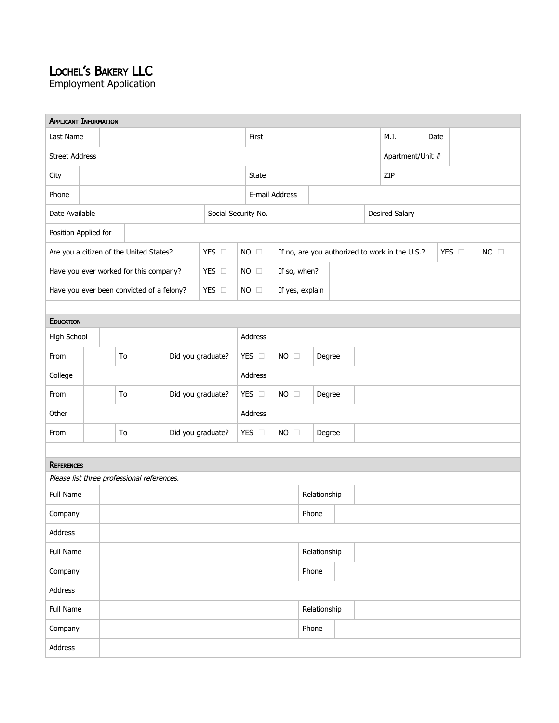## LOCHEL'<sup>S</sup> BAKERY LLC

Employment Application

| <b>APPLICANT INFORMATION</b>                       |                         |  |    |                     |                   |                        |              |                 |                |                       |                                                |                  |  |       |                |  |  |  |
|----------------------------------------------------|-------------------------|--|----|---------------------|-------------------|------------------------|--------------|-----------------|----------------|-----------------------|------------------------------------------------|------------------|--|-------|----------------|--|--|--|
| Last Name                                          |                         |  |    |                     | First             |                        |              |                 | M.I.           |                       | Date                                           |                  |  |       |                |  |  |  |
| <b>Street Address</b>                              |                         |  |    |                     |                   |                        |              |                 |                |                       |                                                | Apartment/Unit # |  |       |                |  |  |  |
| City                                               |                         |  |    |                     |                   | State                  |              |                 |                | ZIP                   |                                                |                  |  |       |                |  |  |  |
| Phone                                              |                         |  |    |                     |                   | E-mail Address         |              |                 |                |                       |                                                |                  |  |       |                |  |  |  |
| Date Available                                     |                         |  |    | Social Security No. |                   |                        |              |                 |                | <b>Desired Salary</b> |                                                |                  |  |       |                |  |  |  |
| Position Applied for                               |                         |  |    |                     |                   |                        |              |                 |                |                       |                                                |                  |  |       |                |  |  |  |
| Are you a citizen of the United States?<br>YES O   |                         |  |    |                     | <b>NO</b>         | $\Box$                 |              |                 |                |                       | If no, are you authorized to work in the U.S.? |                  |  | YES O | $NO$ $\square$ |  |  |  |
| YES O<br>Have you ever worked for this company?    |                         |  |    |                     |                   | $NO \square$           | If so, when? |                 |                |                       |                                                |                  |  |       |                |  |  |  |
| YES O<br>Have you ever been convicted of a felony? |                         |  |    |                     |                   |                        | $NO \square$ | If yes, explain |                |                       |                                                |                  |  |       |                |  |  |  |
|                                                    |                         |  |    |                     |                   |                        |              |                 |                |                       |                                                |                  |  |       |                |  |  |  |
| EDUCATION                                          |                         |  |    |                     |                   |                        |              |                 |                |                       |                                                |                  |  |       |                |  |  |  |
| High School                                        |                         |  |    |                     |                   |                        |              | Address         |                |                       |                                                |                  |  |       |                |  |  |  |
| From                                               |                         |  | To |                     | Did you graduate? |                        |              | YES O           | $NO$ $\square$ |                       | Degree                                         |                  |  |       |                |  |  |  |
| College                                            |                         |  |    | Address             |                   |                        |              |                 |                |                       |                                                |                  |  |       |                |  |  |  |
| To<br>From                                         |                         |  |    | Did you graduate?   |                   | YES O                  | $NO \square$ | Degree          |                |                       |                                                |                  |  |       |                |  |  |  |
| Other                                              |                         |  |    |                     |                   |                        | Address      |                 |                |                       |                                                |                  |  |       |                |  |  |  |
| From                                               | Did you graduate?<br>To |  |    |                     | YES O             | $NO \square$<br>Degree |              |                 |                |                       |                                                |                  |  |       |                |  |  |  |
|                                                    |                         |  |    |                     |                   |                        |              |                 |                |                       |                                                |                  |  |       |                |  |  |  |
| <b>REFERENCES</b>                                  |                         |  |    |                     |                   |                        |              |                 |                |                       |                                                |                  |  |       |                |  |  |  |
| Please list three professional references.         |                         |  |    |                     |                   |                        |              |                 |                |                       |                                                |                  |  |       |                |  |  |  |
| Full Name                                          |                         |  |    |                     |                   |                        |              | Relationship    |                |                       |                                                |                  |  |       |                |  |  |  |
| Company                                            |                         |  |    |                     |                   |                        |              |                 | Phone          |                       |                                                |                  |  |       |                |  |  |  |
| Address                                            |                         |  |    |                     |                   |                        |              |                 |                |                       |                                                |                  |  |       |                |  |  |  |
| Full Name                                          |                         |  |    |                     |                   |                        |              |                 | Relationship   |                       |                                                |                  |  |       |                |  |  |  |
| Company                                            |                         |  |    |                     |                   |                        |              | Phone           |                |                       |                                                |                  |  |       |                |  |  |  |
| Address                                            |                         |  |    |                     |                   |                        |              |                 |                |                       |                                                |                  |  |       |                |  |  |  |
| Full Name                                          |                         |  |    |                     |                   |                        |              |                 | Relationship   |                       |                                                |                  |  |       |                |  |  |  |
| Company                                            |                         |  |    |                     |                   |                        |              | Phone           |                |                       |                                                |                  |  |       |                |  |  |  |
| Address                                            |                         |  |    |                     |                   |                        |              |                 |                |                       |                                                |                  |  |       |                |  |  |  |